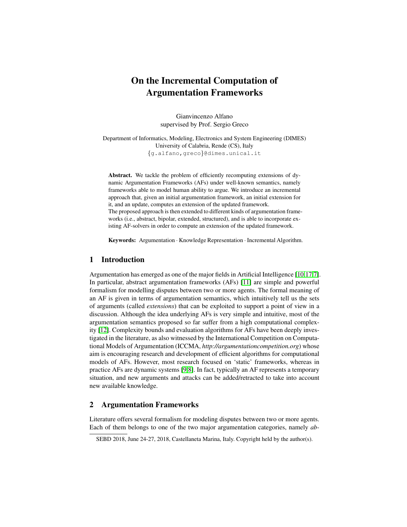# On the Incremental Computation of Argumentation Frameworks

Gianvincenzo Alfano supervised by Prof. Sergio Greco

Department of Informatics, Modeling, Electronics and System Engineering (DIMES) University of Calabria, Rende (CS), Italy {g.alfano,greco}@dimes.unical.it

Abstract. We tackle the problem of efficiently recomputing extensions of dynamic Argumentation Frameworks (AFs) under well-known semantics, namely frameworks able to model human ability to argue. We introduce an incremental approach that, given an initial argumentation framework, an initial extension for it, and an update, computes an extension of the updated framework. The proposed approach is then extended to different kinds of argumentation frameworks (i.e., abstract, bipolar, extended, structured), and is able to incorporate existing AF-solvers in order to compute an extension of the updated framework.

Keywords: Argumentation · Knowledge Representation · Incremental Algorithm.

## 1 Introduction

Argumentation has emerged as one of the major fields in Artificial Intelligence [\[10,](#page-3-0)[17,](#page-3-1)[7\]](#page-3-2). In particular, abstract argumentation frameworks (AFs) [\[11\]](#page-3-3) are simple and powerful formalism for modelling disputes between two or more agents. The formal meaning of an AF is given in terms of argumentation semantics, which intuitively tell us the sets of arguments (called *extensions*) that can be exploited to support a point of view in a discussion. Although the idea underlying AFs is very simple and intuitive, most of the argumentation semantics proposed so far suffer from a high computational complexity [\[12\]](#page-3-4). Complexity bounds and evaluation algorithms for AFs have been deeply investigated in the literature, as also witnessed by the International Competition on Computational Models of Argumentation (ICCMA, *http://argumentationcompetition.org*) whose aim is encouraging research and development of efficient algorithms for computational models of AFs. However, most research focused on 'static' frameworks, whereas in practice AFs are dynamic systems [\[9,](#page-3-5)[8\]](#page-3-6). In fact, typically an AF represents a temporary situation, and new arguments and attacks can be added/retracted to take into account new available knowledge.

#### 2 Argumentation Frameworks

Literature offers several formalism for modeling disputes between two or more agents. Each of them belongs to one of the two major argumentation categories, namely *ab-*

SEBD 2018, June 24-27, 2018, Castellaneta Marina, Italy. Copyright held by the author(s).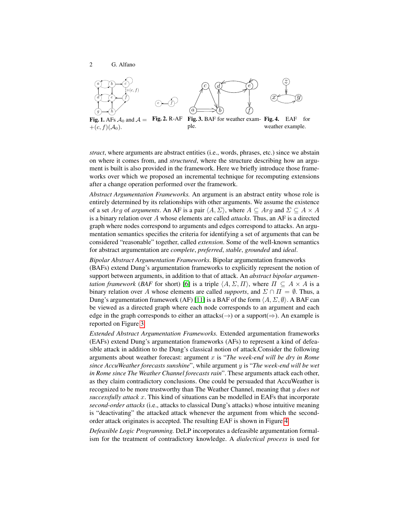<span id="page-1-3"></span>

<span id="page-1-2"></span><span id="page-1-1"></span><span id="page-1-0"></span>*stract*, where arguments are abstract entities (i.e., words, phrases, etc.) since we abstain on where it comes from, and *structured*, where the structure describing how an argument is built is also provided in the framework. Here we briefly introduce those frameworks over which we proposed an incremental technique for recomputing extensions after a change operation performed over the framework.

*Abstract Argumentation Frameworks.* An argument is an abstract entity whose role is entirely determined by its relationships with other arguments. We assume the existence of a set *Arg* of *arguments*. An AF is a pair  $\langle A, \Sigma \rangle$ , where  $A \subseteq Arg$  and  $\Sigma \subseteq A \times A$ is a binary relation over A whose elements are called *attacks*. Thus, an AF is a directed graph where nodes correspond to arguments and edges correspond to attacks. An argumentation semantics specifies the criteria for identifying a set of arguments that can be considered "reasonable" together, called *extension*. Some of the well-known semantics for abstract argumentation are *complete*, *preferred*, *stable*, *grounded* and *ideal*.

*Bipolar Abstract Argumentation Frameworks.* Bipolar argumentation frameworks (BAFs) extend Dung's argumentation frameworks to explicitly represent the notion of support between arguments, in addition to that of attack. An *abstract bipolar argumentation framework* (*BAF* for short) [\[6\]](#page-3-7) is a triple  $\langle A, \Sigma, \Pi \rangle$ , where  $\Pi \subseteq A \times A$  is a binary relation over A whose elements are called *supports*, and  $\Sigma \cap \Pi = \emptyset$ . Thus, a Dung's argumentation framework (AF) [\[11\]](#page-3-3) is a BAF of the form  $\langle A, \Sigma, \emptyset \rangle$ . A BAF can be viewed as a directed graph where each node corresponds to an argument and each edge in the graph corresponds to either an attacks( $\rightarrow$ ) or a support( $\Rightarrow$ ). An example is reported on Figure [3.](#page-1-0)

*Extended Abstract Argumentation Frameworks.* Extended argumentation frameworks (EAFs) extend Dung's argumentation frameworks (AFs) to represent a kind of defeasible attack in addition to the Dung's classical notion of attack.Consider the following arguments about weather forecast: argument x is "*The week-end will be dry in Rome since AccuWeather forecasts sunshine*", while argument y is "*The week-end will be wet in Rome since The Weather Channel forecasts rain*". These arguments attack each other, as they claim contradictory conclusions. One could be persuaded that AccuWeather is recognized to be more trustworthy than The Weather Channel, meaning that y *does not successfully attack* x. This kind of situations can be modelled in EAFs that incorporate *second-order attacks* (i.e., attacks to classical Dung's attacks) whose intuitive meaning is "deactivating" the attacked attack whenever the argument from which the secondorder attack originates is accepted. The resulting EAF is shown in Figure [4.](#page-1-1)

*Defeasible Logic Programming.* DeLP incorporates a defeasible argumentation formalism for the treatment of contradictory knowledge. A *dialectical process* is used for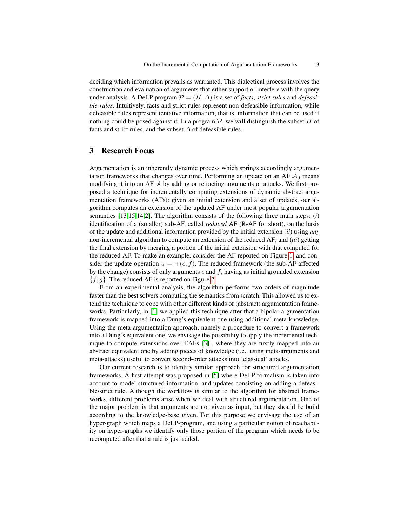deciding which information prevails as warranted. This dialectical process involves the construction and evaluation of arguments that either support or interfere with the query under analysis. A DeLP program  $\mathcal{P} = (\Pi, \Delta)$  is a set of *facts*, *strict rules* and *defeasible rules*. Intuitively, facts and strict rules represent non-defeasible information, while defeasible rules represent tentative information, that is, information that can be used if nothing could be posed against it. In a program  $P$ , we will distinguish the subset  $\Pi$  of facts and strict rules, and the subset  $\Delta$  of defeasible rules.

#### 3 Research Focus

Argumentation is an inherently dynamic process which springs accordingly argumentation frameworks that changes over time. Performing an update on an AF  $A_0$  means modifying it into an AF  $\mathcal A$  by adding or retracting arguments or attacks. We first proposed a technique for incrementally computing extensions of dynamic abstract argumentation frameworks (AFs): given an initial extension and a set of updates, our algorithm computes an extension of the updated AF under most popular argumentation semantics [\[13](#page-3-8)[,15](#page-3-9)[,14,](#page-3-10)[2\]](#page-3-11). The algorithm consists of the following three main steps: (*i*) identification of a (smaller) sub-AF, called *reduced* AF (R-AF for short), on the basis of the update and additional information provided by the initial extension (*ii*) using *any* non-incremental algorithm to compute an extension of the reduced AF; and (*iii*) getting the final extension by merging a portion of the initial extension with that computed for the reduced AF. To make an example, consider the AF reported on Figure [1,](#page-1-2) and consider the update operation  $u = +(c, f)$ . The reduced framework (the sub-AF affected by the change) consists of only arguments  $e$  and  $f$ , having as initial grounded extension  ${f, g}$ . The reduced AF is reported on Figure [2.](#page-1-3)

From an experimental analysis, the algorithm performs two orders of magnitude faster than the best solvers computing the semantics from scratch. This allowed us to extend the technique to cope with other different kinds of (abstract) argumentation frameworks. Particularly, in [\[1\]](#page-3-12) we applied this technique after that a bipolar argumentation framework is mapped into a Dung's equivalent one using additional meta-knowledge. Using the meta-argumentation approach, namely a procedure to convert a framework into a Dung's equivalent one, we envisage the possibility to apply the incremental technique to compute extensions over EAFs [\[3\]](#page-3-13) , where they are firstly mapped into an abstract equivalent one by adding pieces of knowledge (i.e., using meta-arguments and meta-attacks) useful to convert second-order attacks into 'classical' attacks.

Our current research is to identify similar approach for structured argumentation frameworks. A first attempt was proposed in [\[5\]](#page-3-14) where DeLP formalism is taken into account to model structured information, and updates consisting on adding a defeasible/strict rule. Although the workflow is similar to the algorithm for abstract frameworks, different problems arise when we deal with structured argumentation. One of the major problem is that arguments are not given as input, but they should be build according to the knowledge-base given. For this purpose we envisage the use of an hyper-graph which maps a DeLP-program, and using a particular notion of reachability on hyper-graphs we identify only those portion of the program which needs to be recomputed after that a rule is just added.